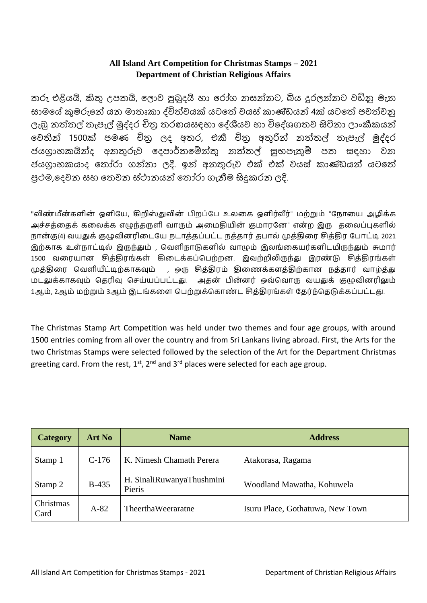### **All Island Art Competition for Christmas Stamps – 2021 Department of Christian Religious Affairs**

තරු එළියයි, කිතු උපතයි, ලොව පුබුදයි හා රෝග නසන්නට, බිය දුරලන්නට වඩිනු මැන සොමලේ කුමරුලන් යන මොතෘකො ද්විත්වයක් යටලත් වයස් කොණ්ඩයන් 4ක් යටලත් පවත්වනු ලැබු නත්තල් තැපැල් මුද්දර චිතු තරඟයසඳහා දේශීයව හා විදේශගතව සිටිනා ලාංකීකයන් වෙතින් 1500ක් පමණ චිතු ලද අතර, එකී චිතු අතුරින් නත්තල් තැපැල් මුද්දර ජයග්රොහකයින්ද අනතුරුව ලදපොර්තලේන්තු නත්තල් සුභපැතුේ පත සඳහො වන ජයග්රොහකයොද ලතෝ ො ගන්නො දී. ඉන් අනතුරුව එක් එක් වයස් කොණ්ඩයන් යටලත් පුථම,දෙවන සහ තෙවන ස්ථානයන් තෝරා ගැනීම සිදුකරන ලදි.

"விண்மீன்களின் ஒளியே, கிறிஸ்துவின் பிறப்பே உலகை ஒளிர்வீர்" மற்றும் "நோயை அழிக்க அச்சக்கைக் கலைக்க எழுந்தருளி வாரும் அமைகியின் குமாரனே" என்ற இரு கலைப்புகளில் நான்கு(4) வயதுக் குழுவினரிடையே நடாத்தப்பட்ட நத்தார் தபால் முத்திரை சித்திர போட்டி 2021 இற்காக உள்நாட்டில் இருந்தும் , வெளிநாடுகளில் வாழும் இலங்கையர்களிடமிருந்தும் சுமார் 1500 வரையான சித்திரங்கள் கிடைக்கப்பெற்றன. இவற்றிலிருந்து இரண்டு சித்திரங்கள் முத்திரை வெளியீட்டிற்காகவும் , ஒரு சித்திரம் திணைக்களத்திற்கான நத்தார் வாழ்த்து மைலுக்கோகவும் வதரிவு வசே்ேப்பை்ைது. அதன் பின்னர் ஒவ்வவோரு வேதுக் குழுவினரிலும் 1ஆம், 2ஆம் மற்றும் 3ஆம் இடங்களை பெற்றுக்கொண்ட சித்திரங்கள் தேர்ந்தெடுக்கப்பட்டது.

The Christmas Stamp Art Competition was held under two themes and four age groups, with around 1500 entries coming from all over the country and from Sri Lankans living abroad. First, the Arts for the two Christmas Stamps were selected followed by the selection of the Art for the Department Christmas greeting card. From the rest,  $1^{st}$ ,  $2^{nd}$  and  $3^{rd}$  places were selected for each age group.

| <b>Category</b>   | <b>Art No</b> | <b>Name</b>                         | <b>Address</b>                   |
|-------------------|---------------|-------------------------------------|----------------------------------|
| Stamp 1           | $C-176$       | K. Nimesh Chamath Perera            | Atakorasa, Ragama                |
| Stamp 2           | $B-435$       | H. SinaliRuwanyaThushmini<br>Pieris | Woodland Mawatha, Kohuwela       |
| Christmas<br>Card | $A-82$        | TheerthaWeeraratne                  | Isuru Place, Gothatuwa, New Town |